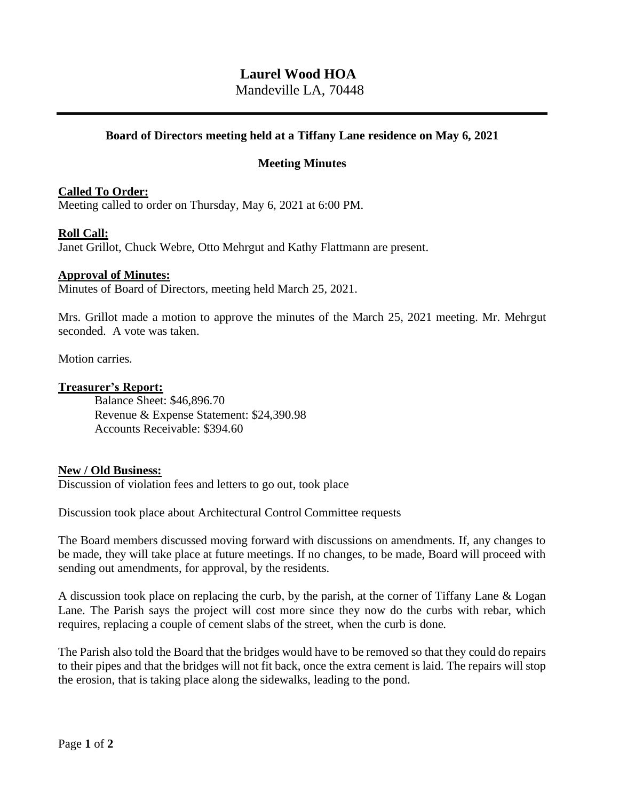# **Laurel Wood HOA**

Mandeville LA, 70448

# **Board of Directors meeting held at a Tiffany Lane residence on May 6, 2021**

# **Meeting Minutes**

# **Called To Order:**

Meeting called to order on Thursday, May 6, 2021 at 6:00 PM.

## **Roll Call:**

Janet Grillot, Chuck Webre, Otto Mehrgut and Kathy Flattmann are present.

## **Approval of Minutes:**

Minutes of Board of Directors, meeting held March 25, 2021.

Mrs. Grillot made a motion to approve the minutes of the March 25, 2021 meeting. Mr. Mehrgut seconded. A vote was taken.

Motion carries.

## **Treasurer's Report:**

Balance Sheet: \$46,896.70 Revenue & Expense Statement: \$24,390.98 Accounts Receivable: \$394.60

## **New / Old Business:**

Discussion of violation fees and letters to go out, took place

Discussion took place about Architectural Control Committee requests

The Board members discussed moving forward with discussions on amendments. If, any changes to be made, they will take place at future meetings. If no changes, to be made, Board will proceed with sending out amendments, for approval, by the residents.

A discussion took place on replacing the curb, by the parish, at the corner of Tiffany Lane & Logan Lane. The Parish says the project will cost more since they now do the curbs with rebar, which requires, replacing a couple of cement slabs of the street, when the curb is done.

The Parish also told the Board that the bridges would have to be removed so that they could do repairs to their pipes and that the bridges will not fit back, once the extra cement is laid. The repairs will stop the erosion, that is taking place along the sidewalks, leading to the pond.